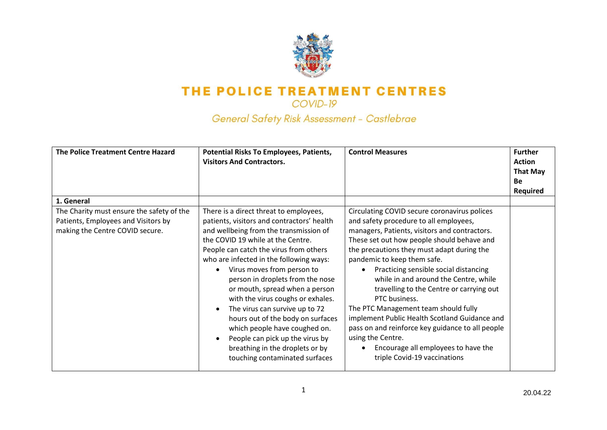

COVID-19

General Safety Risk Assessment - Castlebrae

| The Police Treatment Centre Hazard                                                                                                | <b>Potential Risks To Employees, Patients,</b><br><b>Visitors And Contractors.</b>                                                                                                                                                                                                                                                                                                                                                               | <b>Control Measures</b>                                                                                                                                                                                                                                                                                                                                                                                                                                   | <b>Further</b><br><b>Action</b><br><b>That May</b><br><b>Be</b><br><b>Required</b> |
|-----------------------------------------------------------------------------------------------------------------------------------|--------------------------------------------------------------------------------------------------------------------------------------------------------------------------------------------------------------------------------------------------------------------------------------------------------------------------------------------------------------------------------------------------------------------------------------------------|-----------------------------------------------------------------------------------------------------------------------------------------------------------------------------------------------------------------------------------------------------------------------------------------------------------------------------------------------------------------------------------------------------------------------------------------------------------|------------------------------------------------------------------------------------|
| 1. General<br>The Charity must ensure the safety of the<br>Patients, Employees and Visitors by<br>making the Centre COVID secure. | There is a direct threat to employees,<br>patients, visitors and contractors' health<br>and wellbeing from the transmission of<br>the COVID 19 while at the Centre.<br>People can catch the virus from others<br>who are infected in the following ways:<br>Virus moves from person to<br>person in droplets from the nose<br>or mouth, spread when a person<br>with the virus coughs or exhales.<br>The virus can survive up to 72<br>$\bullet$ | Circulating COVID secure coronavirus polices<br>and safety procedure to all employees,<br>managers, Patients, visitors and contractors.<br>These set out how people should behave and<br>the precautions they must adapt during the<br>pandemic to keep them safe.<br>Practicing sensible social distancing<br>while in and around the Centre, while<br>travelling to the Centre or carrying out<br>PTC business.<br>The PTC Management team should fully |                                                                                    |
|                                                                                                                                   | hours out of the body on surfaces<br>which people have coughed on.<br>People can pick up the virus by<br>breathing in the droplets or by<br>touching contaminated surfaces                                                                                                                                                                                                                                                                       | implement Public Health Scotland Guidance and<br>pass on and reinforce key guidance to all people<br>using the Centre.<br>Encourage all employees to have the<br>triple Covid-19 vaccinations                                                                                                                                                                                                                                                             |                                                                                    |

1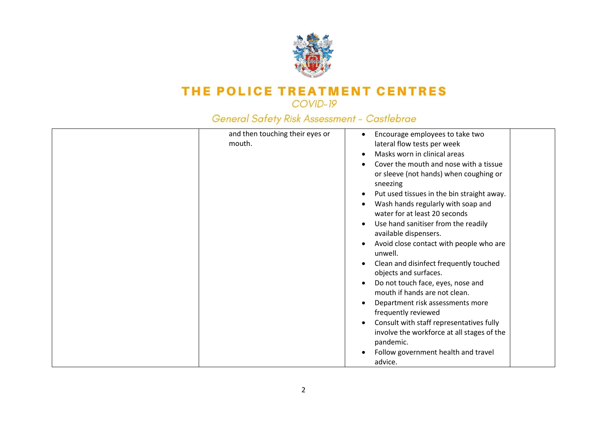

| and then touching their eyes or | Encourage employees to take two<br>٠                                |
|---------------------------------|---------------------------------------------------------------------|
| mouth.                          | lateral flow tests per week                                         |
|                                 | Masks worn in clinical areas                                        |
|                                 | Cover the mouth and nose with a tissue                              |
|                                 | or sleeve (not hands) when coughing or                              |
|                                 | sneezing                                                            |
|                                 | Put used tissues in the bin straight away.                          |
|                                 | Wash hands regularly with soap and<br>water for at least 20 seconds |
|                                 | Use hand sanitiser from the readily<br>available dispensers.        |
|                                 | Avoid close contact with people who are<br>unwell.                  |
|                                 | Clean and disinfect frequently touched<br>objects and surfaces.     |
|                                 | Do not touch face, eyes, nose and<br>mouth if hands are not clean.  |
|                                 | Department risk assessments more<br>frequently reviewed             |
|                                 | Consult with staff representatives fully                            |
|                                 | involve the workforce at all stages of the                          |
|                                 | pandemic.                                                           |
|                                 | Follow government health and travel                                 |
|                                 | advice.                                                             |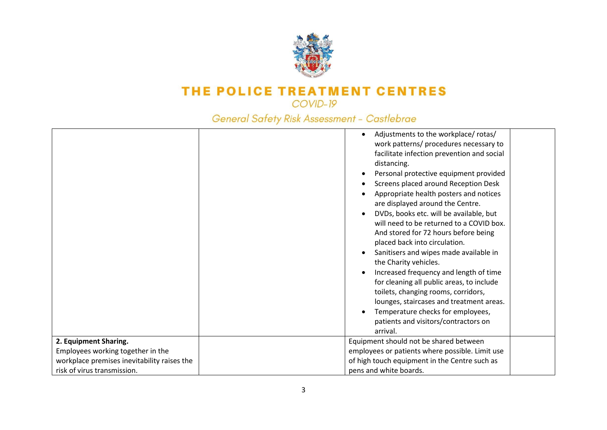

|                                             | Adjustments to the workplace/rotas/<br>work patterns/ procedures necessary to<br>facilitate infection prevention and social<br>distancing.<br>Personal protective equipment provided<br>Screens placed around Reception Desk<br>Appropriate health posters and notices<br>are displayed around the Centre.<br>DVDs, books etc. will be available, but<br>will need to be returned to a COVID box.<br>And stored for 72 hours before being<br>placed back into circulation. |  |
|---------------------------------------------|----------------------------------------------------------------------------------------------------------------------------------------------------------------------------------------------------------------------------------------------------------------------------------------------------------------------------------------------------------------------------------------------------------------------------------------------------------------------------|--|
|                                             |                                                                                                                                                                                                                                                                                                                                                                                                                                                                            |  |
|                                             | Sanitisers and wipes made available in<br>the Charity vehicles.                                                                                                                                                                                                                                                                                                                                                                                                            |  |
|                                             | Increased frequency and length of time<br>for cleaning all public areas, to include<br>toilets, changing rooms, corridors,<br>lounges, staircases and treatment areas.                                                                                                                                                                                                                                                                                                     |  |
|                                             | Temperature checks for employees,<br>patients and visitors/contractors on                                                                                                                                                                                                                                                                                                                                                                                                  |  |
|                                             | arrival.                                                                                                                                                                                                                                                                                                                                                                                                                                                                   |  |
| 2. Equipment Sharing.                       | Equipment should not be shared between                                                                                                                                                                                                                                                                                                                                                                                                                                     |  |
| Employees working together in the           | employees or patients where possible. Limit use                                                                                                                                                                                                                                                                                                                                                                                                                            |  |
| workplace premises inevitability raises the | of high touch equipment in the Centre such as                                                                                                                                                                                                                                                                                                                                                                                                                              |  |
| risk of virus transmission.                 | pens and white boards.                                                                                                                                                                                                                                                                                                                                                                                                                                                     |  |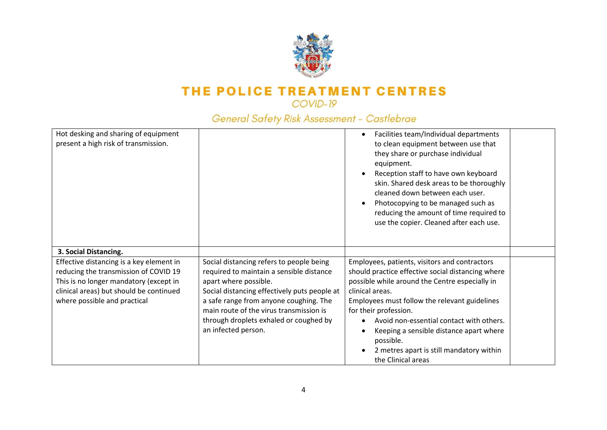

| Hot desking and sharing of equipment<br>present a high risk of transmission.                                                                                                                           |                                                                                                                                                                                                                                                                                                                     | Facilities team/Individual departments<br>to clean equipment between use that<br>they share or purchase individual<br>equipment.<br>Reception staff to have own keyboard<br>skin. Shared desk areas to be thoroughly<br>cleaned down between each user.<br>Photocopying to be managed such as<br>reducing the amount of time required to<br>use the copier. Cleaned after each use.                                     |  |
|--------------------------------------------------------------------------------------------------------------------------------------------------------------------------------------------------------|---------------------------------------------------------------------------------------------------------------------------------------------------------------------------------------------------------------------------------------------------------------------------------------------------------------------|-------------------------------------------------------------------------------------------------------------------------------------------------------------------------------------------------------------------------------------------------------------------------------------------------------------------------------------------------------------------------------------------------------------------------|--|
| 3. Social Distancing.                                                                                                                                                                                  |                                                                                                                                                                                                                                                                                                                     |                                                                                                                                                                                                                                                                                                                                                                                                                         |  |
| Effective distancing is a key element in<br>reducing the transmission of COVID 19<br>This is no longer mandatory (except in<br>clinical areas) but should be continued<br>where possible and practical | Social distancing refers to people being<br>required to maintain a sensible distance<br>apart where possible.<br>Social distancing effectively puts people at<br>a safe range from anyone coughing. The<br>main route of the virus transmission is<br>through droplets exhaled or coughed by<br>an infected person. | Employees, patients, visitors and contractors<br>should practice effective social distancing where<br>possible while around the Centre especially in<br>clinical areas.<br>Employees must follow the relevant guidelines<br>for their profession.<br>Avoid non-essential contact with others.<br>Keeping a sensible distance apart where<br>possible.<br>2 metres apart is still mandatory within<br>the Clinical areas |  |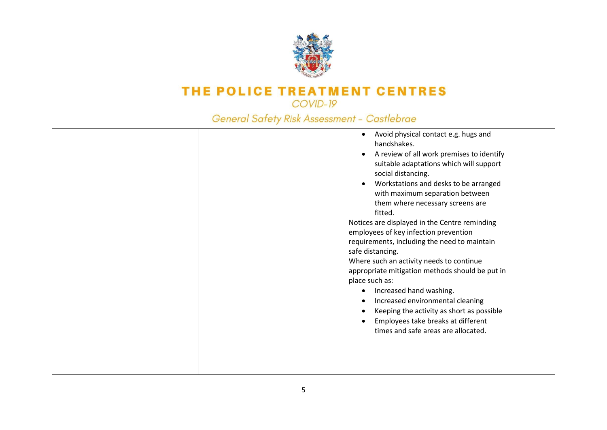

|  | Avoid physical contact e.g. hugs and<br>handshakes.<br>A review of all work premises to identify<br>suitable adaptations which will support<br>social distancing.<br>Workstations and desks to be arranged<br>with maximum separation between<br>them where necessary screens are<br>fitted.<br>Notices are displayed in the Centre reminding<br>employees of key infection prevention<br>requirements, including the need to maintain<br>safe distancing.<br>Where such an activity needs to continue<br>appropriate mitigation methods should be put in<br>place such as:<br>Increased hand washing.<br>Increased environmental cleaning<br>Keeping the activity as short as possible<br>Employees take breaks at different<br>times and safe areas are allocated. |  |
|--|----------------------------------------------------------------------------------------------------------------------------------------------------------------------------------------------------------------------------------------------------------------------------------------------------------------------------------------------------------------------------------------------------------------------------------------------------------------------------------------------------------------------------------------------------------------------------------------------------------------------------------------------------------------------------------------------------------------------------------------------------------------------|--|
|--|----------------------------------------------------------------------------------------------------------------------------------------------------------------------------------------------------------------------------------------------------------------------------------------------------------------------------------------------------------------------------------------------------------------------------------------------------------------------------------------------------------------------------------------------------------------------------------------------------------------------------------------------------------------------------------------------------------------------------------------------------------------------|--|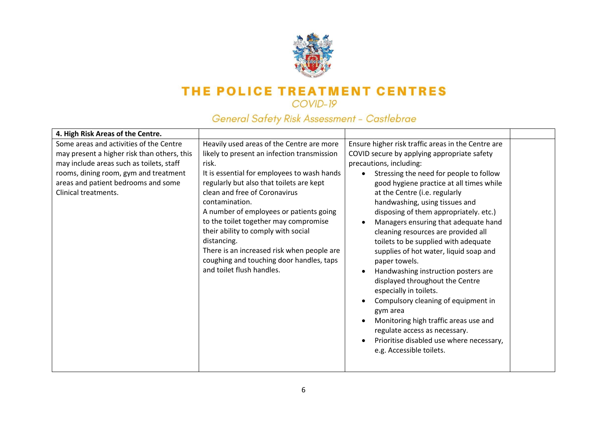

| 4. High Risk Areas of the Centre.                                                                                                                                                                                                          |                                                                                                                                                                                                                                                                                                                                                                                                                                                                                                                  |                                                                                                                                                                                                                                                                                                                                                                                                                                                                                                                                                                                                                                                                                                                                                                                                                                                                    |  |
|--------------------------------------------------------------------------------------------------------------------------------------------------------------------------------------------------------------------------------------------|------------------------------------------------------------------------------------------------------------------------------------------------------------------------------------------------------------------------------------------------------------------------------------------------------------------------------------------------------------------------------------------------------------------------------------------------------------------------------------------------------------------|--------------------------------------------------------------------------------------------------------------------------------------------------------------------------------------------------------------------------------------------------------------------------------------------------------------------------------------------------------------------------------------------------------------------------------------------------------------------------------------------------------------------------------------------------------------------------------------------------------------------------------------------------------------------------------------------------------------------------------------------------------------------------------------------------------------------------------------------------------------------|--|
| Some areas and activities of the Centre<br>may present a higher risk than others, this<br>may include areas such as toilets, staff<br>rooms, dining room, gym and treatment<br>areas and patient bedrooms and some<br>Clinical treatments. | Heavily used areas of the Centre are more<br>likely to present an infection transmission<br>risk.<br>It is essential for employees to wash hands<br>regularly but also that toilets are kept<br>clean and free of Coronavirus<br>contamination.<br>A number of employees or patients going<br>to the toilet together may compromise<br>their ability to comply with social<br>distancing.<br>There is an increased risk when people are<br>coughing and touching door handles, taps<br>and toilet flush handles. | Ensure higher risk traffic areas in the Centre are<br>COVID secure by applying appropriate safety<br>precautions, including:<br>Stressing the need for people to follow<br>$\bullet$<br>good hygiene practice at all times while<br>at the Centre (i.e. regularly<br>handwashing, using tissues and<br>disposing of them appropriately. etc.)<br>Managers ensuring that adequate hand<br>$\bullet$<br>cleaning resources are provided all<br>toilets to be supplied with adequate<br>supplies of hot water, liquid soap and<br>paper towels.<br>Handwashing instruction posters are<br>$\bullet$<br>displayed throughout the Centre<br>especially in toilets.<br>Compulsory cleaning of equipment in<br>gym area<br>Monitoring high traffic areas use and<br>regulate access as necessary.<br>Prioritise disabled use where necessary,<br>e.g. Accessible toilets. |  |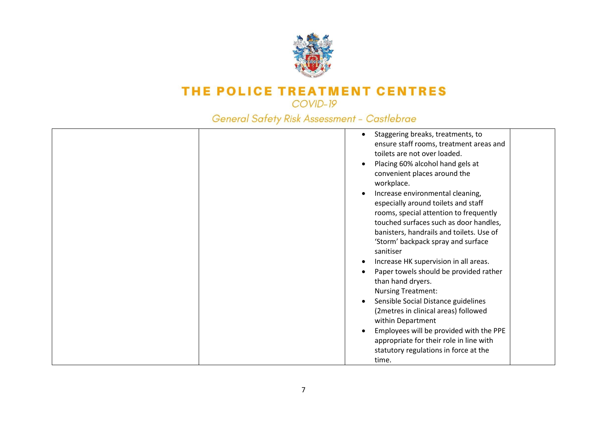

| Staggering breaks, treatments, to<br>ensure staff rooms, treatment areas and<br>toilets are not over loaded.<br>Placing 60% alcohol hand gels at<br>convenient places around the<br>workplace.<br>Increase environmental cleaning,<br>especially around toilets and staff<br>rooms, special attention to frequently<br>touched surfaces such as door handles,<br>banisters, handrails and toilets. Use of<br>'Storm' backpack spray and surface<br>sanitiser<br>Increase HK supervision in all areas.<br>Paper towels should be provided rather<br>than hand dryers.<br><b>Nursing Treatment:</b><br>Sensible Social Distance guidelines<br>(2metres in clinical areas) followed<br>within Department<br>Employees will be provided with the PPE<br>appropriate for their role in line with |
|---------------------------------------------------------------------------------------------------------------------------------------------------------------------------------------------------------------------------------------------------------------------------------------------------------------------------------------------------------------------------------------------------------------------------------------------------------------------------------------------------------------------------------------------------------------------------------------------------------------------------------------------------------------------------------------------------------------------------------------------------------------------------------------------|
| statutory regulations in force at the<br>time.                                                                                                                                                                                                                                                                                                                                                                                                                                                                                                                                                                                                                                                                                                                                              |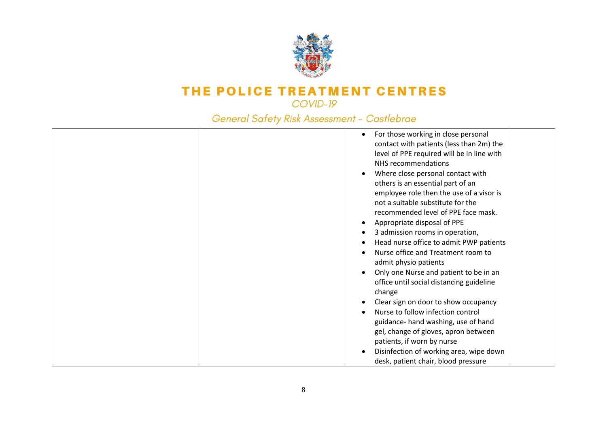

| For those working in close personal<br>$\bullet$<br>contact with patients (less than 2m) the<br>level of PPE required will be in line with<br>NHS recommendations<br>Where close personal contact with<br>others is an essential part of an<br>employee role then the use of a visor is<br>not a suitable substitute for the<br>recommended level of PPE face mask.<br>Appropriate disposal of PPE<br>3 admission rooms in operation,<br>Head nurse office to admit PWP patients<br>Nurse office and Treatment room to<br>admit physio patients<br>Only one Nurse and patient to be in an<br>office until social distancing guideline<br>change<br>Clear sign on door to show occupancy<br>Nurse to follow infection control<br>guidance- hand washing, use of hand<br>gel, change of gloves, apron between<br>patients, if worn by nurse<br>Disinfection of working area, wipe down |  |
|--------------------------------------------------------------------------------------------------------------------------------------------------------------------------------------------------------------------------------------------------------------------------------------------------------------------------------------------------------------------------------------------------------------------------------------------------------------------------------------------------------------------------------------------------------------------------------------------------------------------------------------------------------------------------------------------------------------------------------------------------------------------------------------------------------------------------------------------------------------------------------------|--|
| desk, patient chair, blood pressure                                                                                                                                                                                                                                                                                                                                                                                                                                                                                                                                                                                                                                                                                                                                                                                                                                                  |  |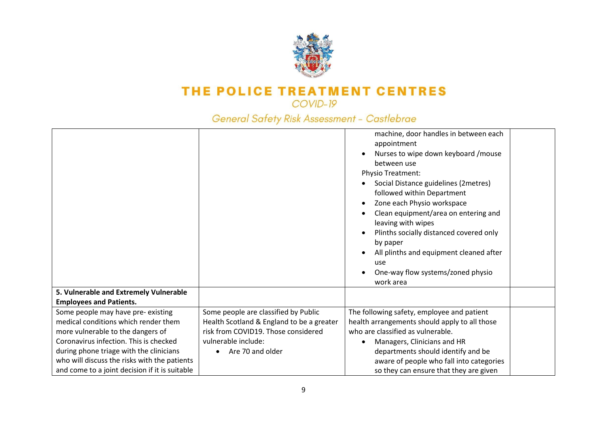

|                                                |                                           | machine, door handles in between each<br>appointment<br>Nurses to wipe down keyboard / mouse<br>between use<br>Physio Treatment:<br>Social Distance guidelines (2metres)<br>followed within Department<br>Zone each Physio workspace<br>Clean equipment/area on entering and<br>leaving with wipes<br>Plinths socially distanced covered only<br>by paper<br>All plinths and equipment cleaned after<br>use<br>One-way flow systems/zoned physio<br>work area |  |
|------------------------------------------------|-------------------------------------------|---------------------------------------------------------------------------------------------------------------------------------------------------------------------------------------------------------------------------------------------------------------------------------------------------------------------------------------------------------------------------------------------------------------------------------------------------------------|--|
| 5. Vulnerable and Extremely Vulnerable         |                                           |                                                                                                                                                                                                                                                                                                                                                                                                                                                               |  |
| <b>Employees and Patients.</b>                 |                                           |                                                                                                                                                                                                                                                                                                                                                                                                                                                               |  |
| Some people may have pre-existing              | Some people are classified by Public      | The following safety, employee and patient                                                                                                                                                                                                                                                                                                                                                                                                                    |  |
| medical conditions which render them           | Health Scotland & England to be a greater | health arrangements should apply to all those                                                                                                                                                                                                                                                                                                                                                                                                                 |  |
| more vulnerable to the dangers of              | risk from COVID19. Those considered       | who are classified as vulnerable.                                                                                                                                                                                                                                                                                                                                                                                                                             |  |
| Coronavirus infection. This is checked         | vulnerable include:                       | Managers, Clinicians and HR                                                                                                                                                                                                                                                                                                                                                                                                                                   |  |
| during phone triage with the clinicians        | Are 70 and older                          | departments should identify and be                                                                                                                                                                                                                                                                                                                                                                                                                            |  |
| who will discuss the risks with the patients   |                                           | aware of people who fall into categories                                                                                                                                                                                                                                                                                                                                                                                                                      |  |
| and come to a joint decision if it is suitable |                                           | so they can ensure that they are given                                                                                                                                                                                                                                                                                                                                                                                                                        |  |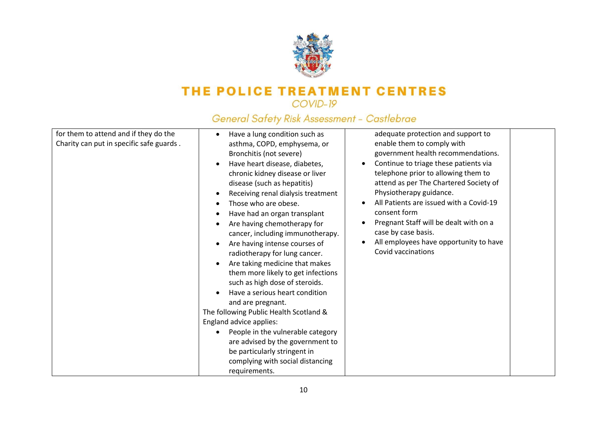

| for them to attend and if they do the    | Have a lung condition such as                   | adequate protection and support to                   |
|------------------------------------------|-------------------------------------------------|------------------------------------------------------|
| Charity can put in specific safe guards. | asthma, COPD, emphysema, or                     | enable them to comply with                           |
|                                          | Bronchitis (not severe)                         | government health recommendations.                   |
|                                          | Have heart disease, diabetes,                   | Continue to triage these patients via<br>$\bullet$   |
|                                          | chronic kidney disease or liver                 | telephone prior to allowing them to                  |
|                                          | disease (such as hepatitis)                     | attend as per The Chartered Society of               |
|                                          | Receiving renal dialysis treatment<br>$\bullet$ | Physiotherapy guidance.                              |
|                                          | Those who are obese.<br>$\bullet$               | All Patients are issued with a Covid-19<br>$\bullet$ |
|                                          | Have had an organ transplant                    | consent form                                         |
|                                          | Are having chemotherapy for                     | Pregnant Staff will be dealt with on a<br>$\bullet$  |
|                                          | cancer, including immunotherapy.                | case by case basis.                                  |
|                                          | Are having intense courses of<br>$\bullet$      | All employees have opportunity to have               |
|                                          | radiotherapy for lung cancer.                   | Covid vaccinations                                   |
|                                          | Are taking medicine that makes<br>$\bullet$     |                                                      |
|                                          | them more likely to get infections              |                                                      |
|                                          | such as high dose of steroids.                  |                                                      |
|                                          | Have a serious heart condition<br>$\bullet$     |                                                      |
|                                          | and are pregnant.                               |                                                      |
|                                          | The following Public Health Scotland &          |                                                      |
|                                          | England advice applies:                         |                                                      |
|                                          | People in the vulnerable category<br>$\bullet$  |                                                      |
|                                          | are advised by the government to                |                                                      |
|                                          | be particularly stringent in                    |                                                      |
|                                          | complying with social distancing                |                                                      |
|                                          | requirements.                                   |                                                      |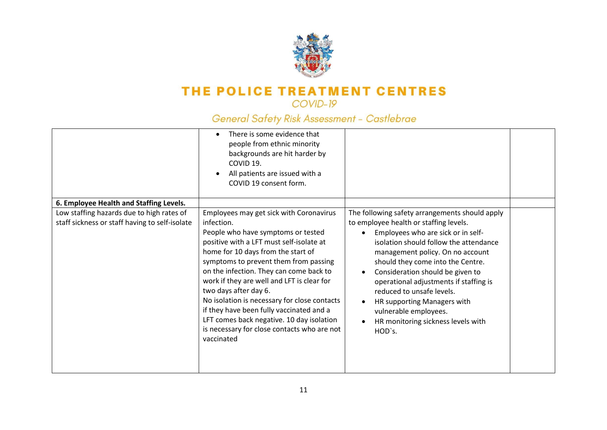

|                                                                                             | There is some evidence that<br>٠<br>people from ethnic minority<br>backgrounds are hit harder by<br>COVID 19.<br>All patients are issued with a<br>COVID 19 consent form.                                                                                                                                                                                                                                                                                                                                                                      |                                                                                                                                                                                                                                                                                                                                                                                                                                                                      |  |
|---------------------------------------------------------------------------------------------|------------------------------------------------------------------------------------------------------------------------------------------------------------------------------------------------------------------------------------------------------------------------------------------------------------------------------------------------------------------------------------------------------------------------------------------------------------------------------------------------------------------------------------------------|----------------------------------------------------------------------------------------------------------------------------------------------------------------------------------------------------------------------------------------------------------------------------------------------------------------------------------------------------------------------------------------------------------------------------------------------------------------------|--|
| 6. Employee Health and Staffing Levels.                                                     |                                                                                                                                                                                                                                                                                                                                                                                                                                                                                                                                                |                                                                                                                                                                                                                                                                                                                                                                                                                                                                      |  |
| Low staffing hazards due to high rates of<br>staff sickness or staff having to self-isolate | Employees may get sick with Coronavirus<br>infection.<br>People who have symptoms or tested<br>positive with a LFT must self-isolate at<br>home for 10 days from the start of<br>symptoms to prevent them from passing<br>on the infection. They can come back to<br>work if they are well and LFT is clear for<br>two days after day 6.<br>No isolation is necessary for close contacts<br>if they have been fully vaccinated and a<br>LFT comes back negative. 10 day isolation<br>is necessary for close contacts who are not<br>vaccinated | The following safety arrangements should apply<br>to employee health or staffing levels.<br>Employees who are sick or in self-<br>isolation should follow the attendance<br>management policy. On no account<br>should they come into the Centre.<br>Consideration should be given to<br>operational adjustments if staffing is<br>reduced to unsafe levels.<br>HR supporting Managers with<br>vulnerable employees.<br>HR monitoring sickness levels with<br>HOD's. |  |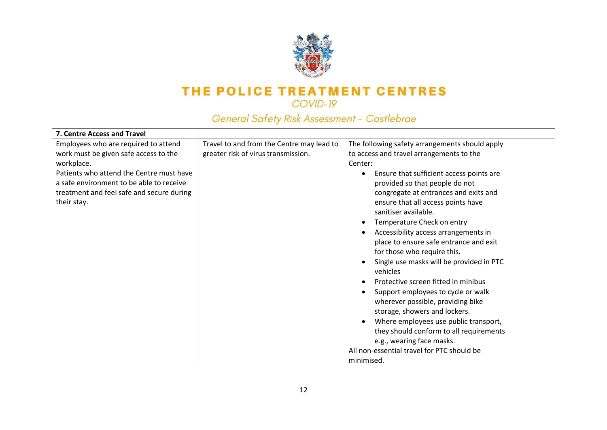

| 7. Centre Access and Travel                                                                                                                                                                                                                     |                                                                                  |                                                                                                                                                                                                                                                                                                                                                                                                                                                                                                                                                                                                                                                                                                                                                                                                                                   |  |
|-------------------------------------------------------------------------------------------------------------------------------------------------------------------------------------------------------------------------------------------------|----------------------------------------------------------------------------------|-----------------------------------------------------------------------------------------------------------------------------------------------------------------------------------------------------------------------------------------------------------------------------------------------------------------------------------------------------------------------------------------------------------------------------------------------------------------------------------------------------------------------------------------------------------------------------------------------------------------------------------------------------------------------------------------------------------------------------------------------------------------------------------------------------------------------------------|--|
| Employees who are required to attend<br>work must be given safe access to the<br>workplace.<br>Patients who attend the Centre must have<br>a safe environment to be able to receive<br>treatment and feel safe and secure during<br>their stay. | Travel to and from the Centre may lead to<br>greater risk of virus transmission. | The following safety arrangements should apply<br>to access and travel arrangements to the<br>Center:<br>Ensure that sufficient access points are<br>provided so that people do not<br>congregate at entrances and exits and<br>ensure that all access points have<br>sanitiser available.<br>Temperature Check on entry<br>Accessibility access arrangements in<br>place to ensure safe entrance and exit<br>for those who require this.<br>Single use masks will be provided in PTC<br>vehicles<br>Protective screen fitted in minibus<br>Support employees to cycle or walk<br>wherever possible, providing bike<br>storage, showers and lockers.<br>Where employees use public transport,<br>they should conform to all requirements<br>e.g., wearing face masks.<br>All non-essential travel for PTC should be<br>minimised. |  |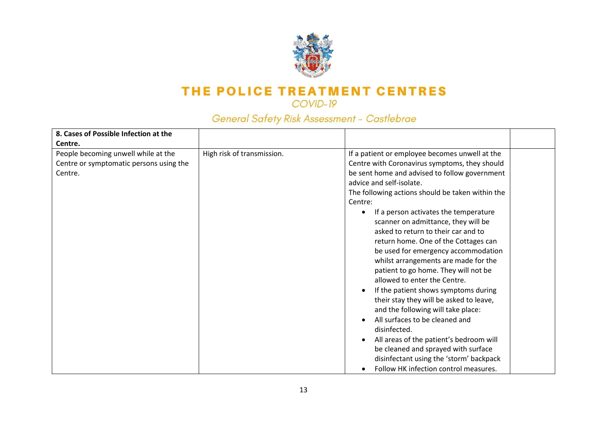

#### COVID-19

| 8. Cases of Possible Infection at the                                                     |                            |                                                                                                                                                                                                                                                                                                                                                                                                                                                                                                                                                                                                                                                                                                                                                                                                                                                                                                                    |
|-------------------------------------------------------------------------------------------|----------------------------|--------------------------------------------------------------------------------------------------------------------------------------------------------------------------------------------------------------------------------------------------------------------------------------------------------------------------------------------------------------------------------------------------------------------------------------------------------------------------------------------------------------------------------------------------------------------------------------------------------------------------------------------------------------------------------------------------------------------------------------------------------------------------------------------------------------------------------------------------------------------------------------------------------------------|
| Centre.                                                                                   |                            |                                                                                                                                                                                                                                                                                                                                                                                                                                                                                                                                                                                                                                                                                                                                                                                                                                                                                                                    |
| People becoming unwell while at the<br>Centre or symptomatic persons using the<br>Centre. | High risk of transmission. | If a patient or employee becomes unwell at the<br>Centre with Coronavirus symptoms, they should<br>be sent home and advised to follow government<br>advice and self-isolate.<br>The following actions should be taken within the<br>Centre:<br>If a person activates the temperature<br>scanner on admittance, they will be<br>asked to return to their car and to<br>return home. One of the Cottages can<br>be used for emergency accommodation<br>whilst arrangements are made for the<br>patient to go home. They will not be<br>allowed to enter the Centre.<br>If the patient shows symptoms during<br>their stay they will be asked to leave,<br>and the following will take place:<br>All surfaces to be cleaned and<br>disinfected.<br>All areas of the patient's bedroom will<br>be cleaned and sprayed with surface<br>disinfectant using the 'storm' backpack<br>Follow HK infection control measures. |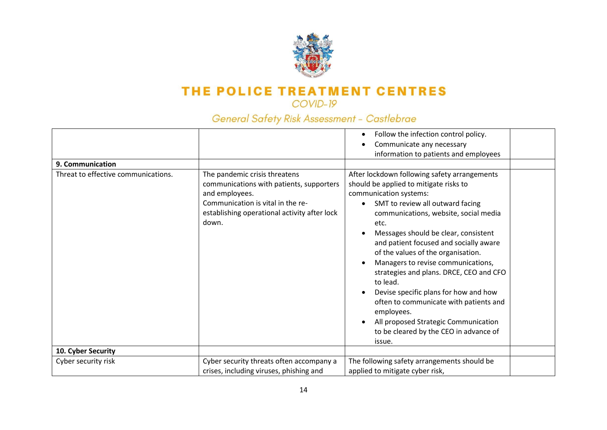

COVID-19

|                                     |                                                                                                                                                                                           | Follow the infection control policy.                                                                                                                                                                                                                                                                                                                                                                                                                                                                                                                                |  |
|-------------------------------------|-------------------------------------------------------------------------------------------------------------------------------------------------------------------------------------------|---------------------------------------------------------------------------------------------------------------------------------------------------------------------------------------------------------------------------------------------------------------------------------------------------------------------------------------------------------------------------------------------------------------------------------------------------------------------------------------------------------------------------------------------------------------------|--|
|                                     |                                                                                                                                                                                           | Communicate any necessary                                                                                                                                                                                                                                                                                                                                                                                                                                                                                                                                           |  |
|                                     |                                                                                                                                                                                           | information to patients and employees                                                                                                                                                                                                                                                                                                                                                                                                                                                                                                                               |  |
|                                     |                                                                                                                                                                                           |                                                                                                                                                                                                                                                                                                                                                                                                                                                                                                                                                                     |  |
| 9. Communication                    |                                                                                                                                                                                           |                                                                                                                                                                                                                                                                                                                                                                                                                                                                                                                                                                     |  |
| Threat to effective communications. | The pandemic crisis threatens<br>communications with patients, supporters<br>and employees.<br>Communication is vital in the re-<br>establishing operational activity after lock<br>down. | After lockdown following safety arrangements<br>should be applied to mitigate risks to<br>communication systems:<br>SMT to review all outward facing<br>communications, website, social media<br>etc.<br>Messages should be clear, consistent<br>and patient focused and socially aware<br>of the values of the organisation.<br>Managers to revise communications,<br>strategies and plans. DRCE, CEO and CFO<br>to lead.<br>Devise specific plans for how and how<br>often to communicate with patients and<br>employees.<br>All proposed Strategic Communication |  |
|                                     |                                                                                                                                                                                           | to be cleared by the CEO in advance of                                                                                                                                                                                                                                                                                                                                                                                                                                                                                                                              |  |
|                                     |                                                                                                                                                                                           | issue.                                                                                                                                                                                                                                                                                                                                                                                                                                                                                                                                                              |  |
| 10. Cyber Security                  |                                                                                                                                                                                           |                                                                                                                                                                                                                                                                                                                                                                                                                                                                                                                                                                     |  |
| Cyber security risk                 | Cyber security threats often accompany a                                                                                                                                                  | The following safety arrangements should be                                                                                                                                                                                                                                                                                                                                                                                                                                                                                                                         |  |
|                                     | crises, including viruses, phishing and                                                                                                                                                   | applied to mitigate cyber risk,                                                                                                                                                                                                                                                                                                                                                                                                                                                                                                                                     |  |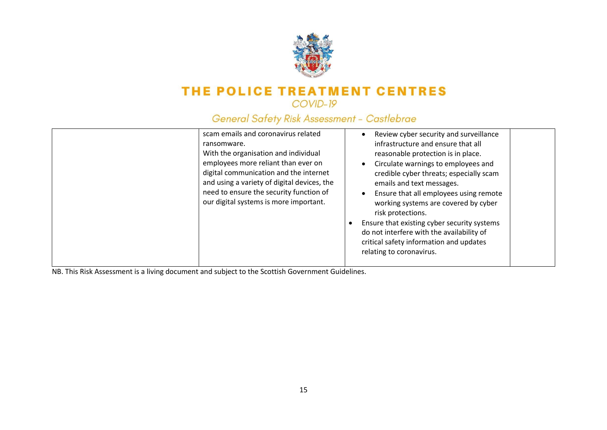

### General Safety Risk Assessment - Castlebrae

| scam emails and coronavirus related<br>ransomware.<br>With the organisation and individual<br>employees more reliant than ever on<br>digital communication and the internet<br>and using a variety of digital devices, the<br>need to ensure the security function of<br>our digital systems is more important. | Review cyber security and surveillance<br>infrastructure and ensure that all<br>reasonable protection is in place.<br>Circulate warnings to employees and<br>credible cyber threats; especially scam<br>emails and text messages.<br>Ensure that all employees using remote<br>working systems are covered by cyber<br>risk protections.<br>Ensure that existing cyber security systems<br>do not interfere with the availability of<br>critical safety information and updates<br>relating to coronavirus. |
|-----------------------------------------------------------------------------------------------------------------------------------------------------------------------------------------------------------------------------------------------------------------------------------------------------------------|-------------------------------------------------------------------------------------------------------------------------------------------------------------------------------------------------------------------------------------------------------------------------------------------------------------------------------------------------------------------------------------------------------------------------------------------------------------------------------------------------------------|
|-----------------------------------------------------------------------------------------------------------------------------------------------------------------------------------------------------------------------------------------------------------------------------------------------------------------|-------------------------------------------------------------------------------------------------------------------------------------------------------------------------------------------------------------------------------------------------------------------------------------------------------------------------------------------------------------------------------------------------------------------------------------------------------------------------------------------------------------|

NB. This Risk Assessment is a living document and subject to the Scottish Government Guidelines.